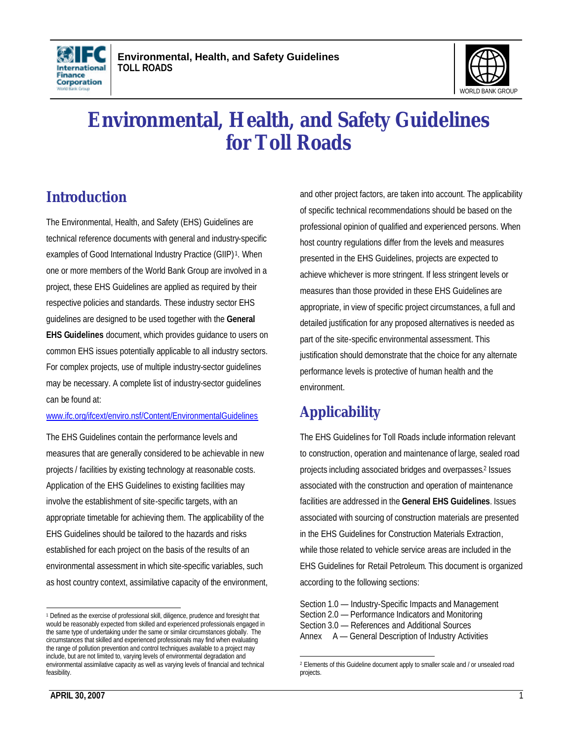



# **Environmental, Health, and Safety Guidelines for Toll Roads**

# **Introduction**

The Environmental, Health, and Safety (EHS) Guidelines are technical reference documents with general and industry-specific examples of Good International Industry Practice (GIIP)<sup>1</sup>. When one or more members of the World Bank Group are involved in a project, these EHS Guidelines are applied as required by their respective policies and standards. These industry sector EHS guidelines are designed to be used together with the **General EHS Guidelines** document, which provides guidance to users on common EHS issues potentially applicable to all industry sectors. For complex projects, use of multiple industry-sector guidelines may be necessary. A complete list of industry-sector guidelines can be found at:

#### www.ifc.org/ifcext/enviro.nsf/Content/EnvironmentalGuidelines

The EHS Guidelines contain the performance levels and measures that are generally considered to be achievable in new projects / facilities by existing technology at reasonable costs. Application of the EHS Guidelines to existing facilities may involve the establishment of site-specific targets, with an appropriate timetable for achieving them. The applicability of the EHS Guidelines should be tailored to the hazards and risks established for each project on the basis of the results of an environmental assessment in which site-specific variables, such as host country context, assimilative capacity of the environment, and other project factors, are taken into account. The applicability of specific technical recommendations should be based on the professional opinion of qualified and experienced persons. When host country regulations differ from the levels and measures presented in the EHS Guidelines, projects are expected to achieve whichever is more stringent. If less stringent levels or measures than those provided in these EHS Guidelines are appropriate, in view of specific project circumstances, a full and detailed justification for any proposed alternatives is needed as part of the site-specific environmental assessment. This justification should demonstrate that the choice for any alternate performance levels is protective of human health and the environment.

# **Applicability**

The EHS Guidelines for Toll Roads include information relevant to construction, operation and maintenance of large, sealed road projects including associated bridges and overpasses. 2 Issues associated with the construction and operation of maintenance facilities are addressed in the **General EHS Guidelines**. Issues associated with sourcing of construction materials are presented in the EHS Guidelines for Construction Materials Extraction, while those related to vehicle service areas are included in the EHS Guidelines for Retail Petroleum. This document is organized according to the following sections:

Section 1.0 — Industry-Specific Impacts and Management Section 2.0 — Performance Indicators and Monitoring Section 3.0 — References and Additional Sources Annex A — General Description of Industry Activities

 1 Defined as the exercise of professional skill, diligence, prudence and foresight that would be reasonably expected from skilled and experienced professionals engaged in the same type of undertaking under the same or similar circumstances globally. The circumstances that skilled and experienced professionals may find when evaluating the range of pollution prevention and control techniques available to a project may include, but are not limited to, varying levels of environmental degradation and environmental assimilative capacity as well as varying levels of financial and technical feasibility.

<sup>2&</sup>lt;br>2 Elements of this Guideline document apply to smaller scale and / or unsealed road projects.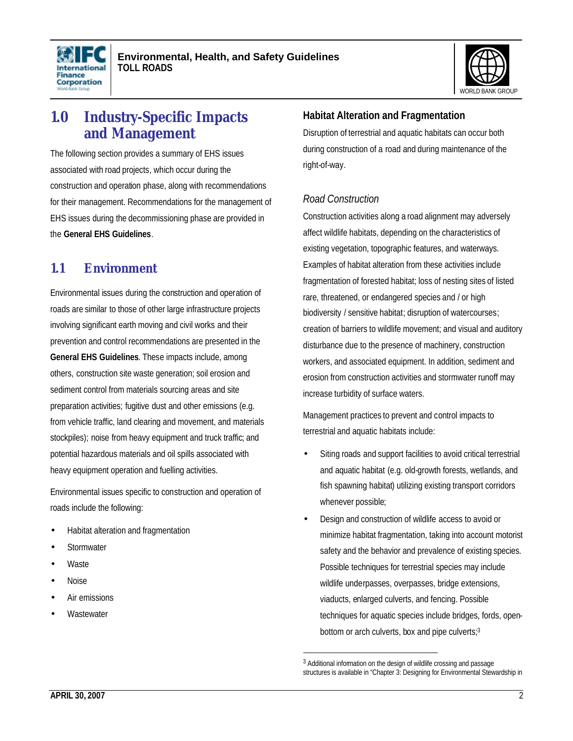



# **1.0 Industry-Specific Impacts and Management**

The following section provides a summary of EHS issues associated with road projects, which occur during the construction and operation phase, along with recommendations for their management. Recommendations for the management of EHS issues during the decommissioning phase are provided in the **General EHS Guidelines**.

# **1.1 Environment**

Environmental issues during the construction and operation of roads are similar to those of other large infrastructure projects involving significant earth moving and civil works and their prevention and control recommendations are presented in the **General EHS Guidelines**. These impacts include, among others, construction site waste generation; soil erosion and sediment control from materials sourcing areas and site preparation activities; fugitive dust and other emissions (e.g. from vehicle traffic, land clearing and movement, and materials stockpiles); noise from heavy equipment and truck traffic; and potential hazardous materials and oil spills associated with heavy equipment operation and fuelling activities.

Environmental issues specific to construction and operation of roads include the following:

- Habitat alteration and fragmentation
- **Stormwater**
- Waste
- Noise
- Air emissions
- **Wastewater**

#### **Habitat Alteration and Fragmentation**

Disruption of terrestrial and aquatic habitats can occur both during construction of a road and during maintenance of the right-of-way.

#### *Road Construction*

Construction activities along a road alignment may adversely affect wildlife habitats, depending on the characteristics of existing vegetation, topographic features, and waterways. Examples of habitat alteration from these activities include fragmentation of forested habitat; loss of nesting sites of listed rare, threatened, or endangered species and / or high biodiversity / sensitive habitat; disruption of watercourses; creation of barriers to wildlife movement; and visual and auditory disturbance due to the presence of machinery, construction workers, and associated equipment. In addition, sediment and erosion from construction activities and stormwater runoff may increase turbidity of surface waters.

Management practices to prevent and control impacts to terrestrial and aquatic habitats include:

- Siting roads and support facilities to avoid critical terrestrial and aquatic habitat (e.g. old-growth forests, wetlands, and fish spawning habitat) utilizing existing transport corridors whenever possible;
- Design and construction of wildlife access to avoid or minimize habitat fragmentation, taking into account motorist safety and the behavior and prevalence of existing species. Possible techniques for terrestrial species may include wildlife underpasses, overpasses, bridge extensions, viaducts, enlarged culverts, and fencing. Possible techniques for aquatic species include bridges, fords, openbottom or arch culverts, box and pipe culverts; 3

 $\overline{a}$ <sup>3</sup> Additional information on the design of wildlife crossing and passage structures is available in "Chapter 3: Designing for Environmental Stewardship in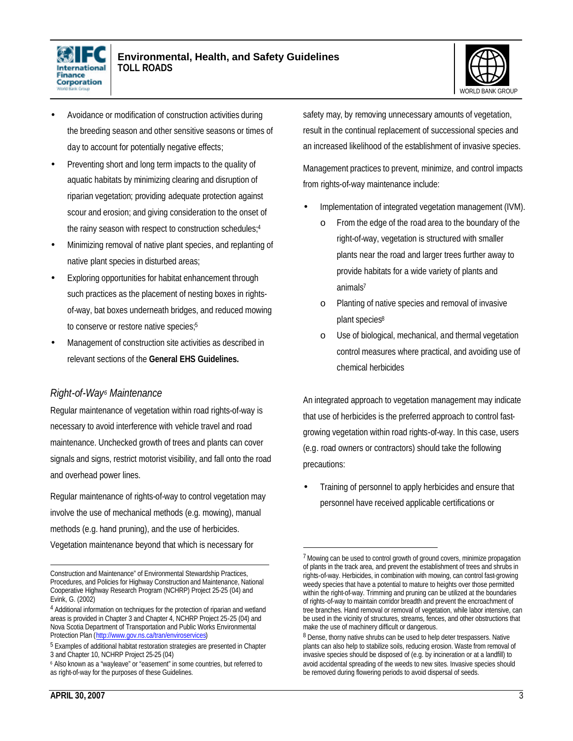



- Avoidance or modification of construction activities during the breeding season and other sensitive seasons or times of day to account for potentially negative effects;
- Preventing short and long term impacts to the quality of aquatic habitats by minimizing clearing and disruption of riparian vegetation; providing adequate protection against scour and erosion; and giving consideration to the onset of the rainy season with respect to construction schedules; 4
- Minimizing removal of native plant species, and replanting of native plant species in disturbed areas;
- Exploring opportunities for habitat enhancement through such practices as the placement of nesting boxes in rightsof-way, bat boxes underneath bridges, and reduced mowing to conserve or restore native species;<sup>5</sup>
- Management of construction site activities as described in relevant sections of the **General EHS Guidelines.**

# *Right-of-Way<sup>6</sup> Maintenance*

Regular maintenance of vegetation within road rights-of-way is necessary to avoid interference with vehicle travel and road maintenance. Unchecked growth of trees and plants can cover signals and signs, restrict motorist visibility, and fall onto the road and overhead power lines.

Regular maintenance of rights-of-way to control vegetation may involve the use of mechanical methods (e.g. mowing), manual methods (e.g. hand pruning), and the use of herbicides. Vegetation maintenance beyond that which is necessary for

safety may, by removing unnecessary amounts of vegetation, result in the continual replacement of successional species and an increased likelihood of the establishment of invasive species.

Management practices to prevent, minimize, and control impacts from rights-of-way maintenance include:

- Implementation of integrated vegetation management (IVM).
	- o From the edge of the road area to the boundary of the right-of-way, vegetation is structured with smaller plants near the road and larger trees further away to provide habitats for a wide variety of plants and animals<sup>7</sup>
	- o Planting of native species and removal of invasive plant species<sup>8</sup>
	- o Use of biological, mechanical, and thermal vegetation control measures where practical, and avoiding use of chemical herbicides

An integrated approach to vegetation management may indicate that use of herbicides is the preferred approach to control fastgrowing vegetation within road rights-of-way. In this case, users (e.g. road owners or contractors) should take the following precautions:

• Training of personnel to apply herbicides and ensure that personnel have received applicable certifications or

-

 $\overline{a}$ Construction and Maintenance" of Environmental Stewardship Practices, Procedures, and Policies for Highway Construction and Maintenance, National Cooperative Highway Research Program (NCHRP) Project 25-25 (04) and Evink, G. (2002)

<sup>&</sup>lt;sup>4</sup> Additional information on techniques for the protection of riparian and wetland areas is provided in Chapter 3 and Chapter 4, NCHRP Project 25-25 (04) and Nova Scotia Department of Transportation and Public Works Environmental Protection Plan (http://www.gov.ns.ca/tran/enviroservices)

<sup>&</sup>lt;sup>5</sup> Examples of additional habitat restoration strategies are presented in Chapter 3 and Chapter 10, NCHRP Project 25-25 (04)

<sup>6</sup> Also known as a "wayleave" or "easement" in some countries, but referred to as right-of-way for the purposes of these Guidelines.

<sup>&</sup>lt;sup>7</sup> Mowing can be used to control growth of ground covers, minimize propagation of plants in the track area, and prevent the establishment of trees and shrubs in rights-of-way. Herbicides, in combination with mowing, can control fast-growing weedy species that have a potential to mature to heights over those permitted within the right-of-way. Trimming and pruning can be utilized at the boundaries of rights-of-way to maintain corridor breadth and prevent the encroachment of tree branches. Hand removal or removal of vegetation, while labor intensive, can be used in the vicinity of structures, streams, fences, and other obstructions that make the use of machinery difficult or dangerous.

<sup>&</sup>lt;sup>8</sup> Dense, thorny native shrubs can be used to help deter trespassers. Native plants can also help to stabilize soils, reducing erosion. Waste from removal of invasive species should be disposed of (e.g. by incineration or at a landfill) to avoid accidental spreading of the weeds to new sites. Invasive species should be removed during flowering periods to avoid dispersal of seeds.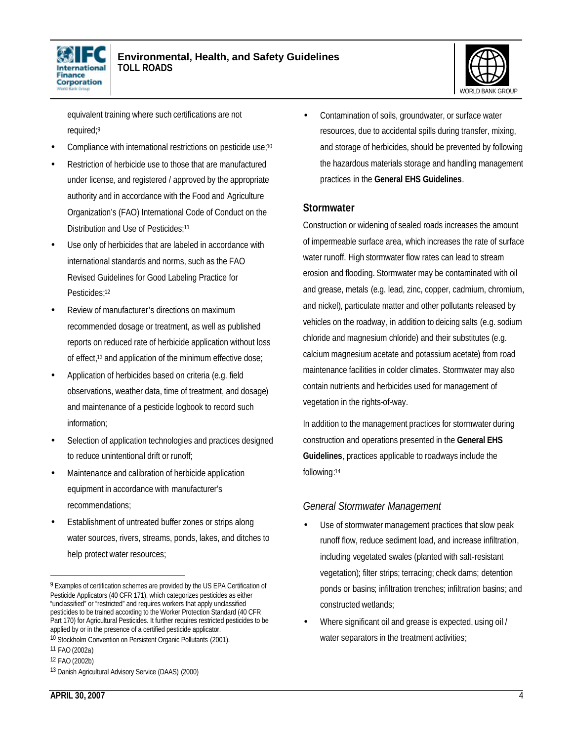



equivalent training where such certifications are not required;<sup>9</sup>

- Compliance with international restrictions on pesticide use;<sup>10</sup>
- Restriction of herbicide use to those that are manufactured under license, and registered / approved by the appropriate authority and in accordance with the Food and Agriculture Organization's (FAO) International Code of Conduct on the Distribution and Use of Pesticides;<sup>11</sup>
- Use only of herbicides that are labeled in accordance with international standards and norms, such as the FAO Revised Guidelines for Good Labeling Practice for Pesticides;<sup>12</sup>
- Review of manufacturer's directions on maximum recommended dosage or treatment, as well as published reports on reduced rate of herbicide application without loss of effect,13 and application of the minimum effective dose;
- Application of herbicides based on criteria (e.g. field observations, weather data, time of treatment, and dosage) and maintenance of a pesticide logbook to record such information;
- Selection of application technologies and practices designed to reduce unintentional drift or runoff;
- Maintenance and calibration of herbicide application equipment in accordance with manufacturer's recommendations;
- Establishment of untreated buffer zones or strips along water sources, rivers, streams, ponds, lakes, and ditches to help protect water resources;

• Contamination of soils, groundwater, or surface water resources, due to accidental spills during transfer, mixing, and storage of herbicides, should be prevented by following the hazardous materials storage and handling management practices in the **General EHS Guidelines**.

#### **Stormwater**

Construction or widening of sealed roads increases the amount of impermeable surface area, which increases the rate of surface water runoff. High stormwater flow rates can lead to stream erosion and flooding. Stormwater may be contaminated with oil and grease, metals (e.g. lead, zinc, copper, cadmium, chromium, and nickel), particulate matter and other pollutants released by vehicles on the roadway, in addition to deicing salts (e.g. sodium chloride and magnesium chloride) and their substitutes (e.g. calcium magnesium acetate and potassium acetate) from road maintenance facilities in colder climates. Stormwater may also contain nutrients and herbicides used for management of vegetation in the rights-of-way.

In addition to the management practices for stormwater during construction and operations presented in the **General EHS Guidelines**, practices applicable to roadways include the following: 14

#### *General Stormwater Management*

- Use of stormwater management practices that slow peak runoff flow, reduce sediment load, and increase infiltration, including vegetated swales (planted with salt-resistant vegetation); filter strips; terracing; check dams; detention ponds or basins; infiltration trenches; infiltration basins; and constructed wetlands;
- Where significant oil and grease is expected, using oil / water separators in the treatment activities;

<sup>&</sup>lt;sup>9</sup> Examples of certification schemes are provided by the US EPA Certification of Pesticide Applicators (40 CFR 171), which categorizes pesticides as either "unclassified" or "restricted" and requires workers that apply unclassified pesticides to be trained according to the Worker Protection Standard (40 CFR Part 170) for Agricultural Pesticides. It further requires restricted pesticides to be applied by or in the presence of a certified pesticide applicator.

<sup>10</sup> Stockholm Convention on Persistent Organic Pollutants (2001).

<sup>11</sup> FAO (2002a)

<sup>12</sup> FAO (2002b)

<sup>13</sup> Danish Agricultural Advisory Service (DAAS) (2000)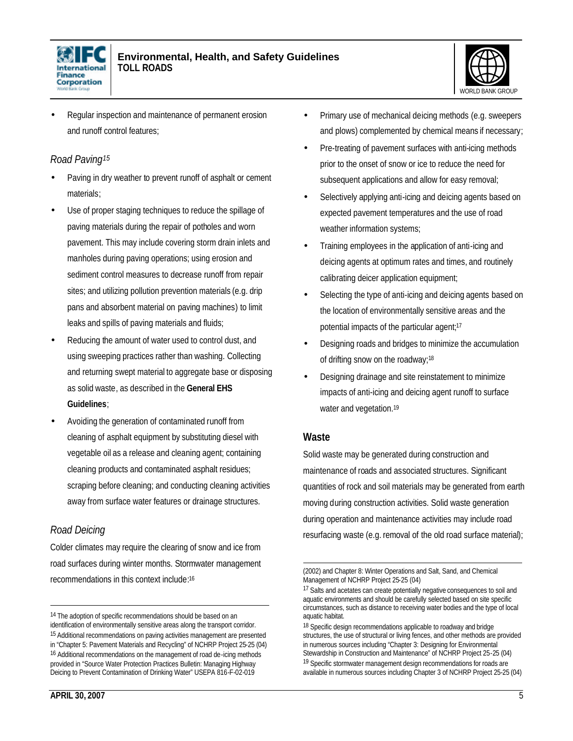



• Regular inspection and maintenance of permanent erosion and runoff control features;

#### *Road Paving<sup>15</sup>*

- Paving in dry weather to prevent runoff of asphalt or cement materials;
- Use of proper staging techniques to reduce the spillage of paving materials during the repair of potholes and worn pavement. This may include covering storm drain inlets and manholes during paving operations; using erosion and sediment control measures to decrease runoff from repair sites; and utilizing pollution prevention materials (e.g. drip pans and absorbent material on paving machines) to limit leaks and spills of paving materials and fluids;
- Reducing the amount of water used to control dust, and using sweeping practices rather than washing. Collecting and returning swept material to aggregate base or disposing as solid waste, as described in the **General EHS Guidelines**;
- Avoiding the generation of contaminated runoff from cleaning of asphalt equipment by substituting diesel with vegetable oil as a release and cleaning agent; containing cleaning products and contaminated asphalt residues; scraping before cleaning; and conducting cleaning activities away from surface water features or drainage structures.

# *Road Deicing*

Colder climates may require the clearing of snow and ice from road surfaces during winter months. Stormwater management recommendations in this context include: 16

- Pre-treating of pavement surfaces with anti-icing methods prior to the onset of snow or ice to reduce the need for
	- subsequent applications and allow for easy removal;
	- Selectively applying anti-icing and deicing agents based on expected pavement temperatures and the use of road weather information systems;

• Primary use of mechanical deicing methods (e.g. sweepers and plows) complemented by chemical means if necessary;

- Training employees in the application of anti-icing and deicing agents at optimum rates and times, and routinely calibrating deicer application equipment;
- Selecting the type of anti-icing and deicing agents based on the location of environmentally sensitive areas and the potential impacts of the particular agent;<sup>17</sup>
- Designing roads and bridges to minimize the accumulation of drifting snow on the roadway;<sup>18</sup>
- Designing drainage and site reinstatement to minimize impacts of anti-icing and deicing agent runoff to surface water and vegetation.<sup>19</sup>

#### **Waste**

Solid waste may be generated during construction and maintenance of roads and associated structures. Significant quantities of rock and soil materials may be generated from earth moving during construction activities. Solid waste generation during operation and maintenance activities may include road resurfacing waste (e.g. removal of the old road surface material);

<sup>&</sup>lt;sup>14</sup> The adoption of specific recommendations should be based on an identification of environmentally sensitive areas along the transport corridor. 15 Additional recommendations on paving activities management are presented in "Chapter 5: Pavement Materials and Recycling" of NCHRP Project 25-25 (04) 16 Additional recommendations on the management of road de-icing methods provided in "Source Water Protection Practices Bulletin: Managing Highway Deicing to Prevent Contamination of Drinking Water" USEPA 816-F-02-019

 $\overline{a}$ (2002) and Chapter 8: Winter Operations and Salt, Sand, and Chemical Management of NCHRP Project 25-25 (04)

<sup>&</sup>lt;sup>17</sup> Salts and acetates can create potentially negative consequences to soil and aquatic environments and should be carefully selected based on site specific circumstances, such as distance to receiving water bodies and the type of local aquatic habitat.

<sup>&</sup>lt;sup>18</sup> Specific design recommendations applicable to roadway and bridge structures, the use of structural or living fences, and other methods are provided in numerous sources including "Chapter 3: Designing for Environmental Stewardship in Construction and Maintenance" of NCHRP Project 25-25 (04) 19 Specific stormwater management design recommendations for roads are available in numerous sources including Chapter 3 of NCHRP Project 25-25 (04)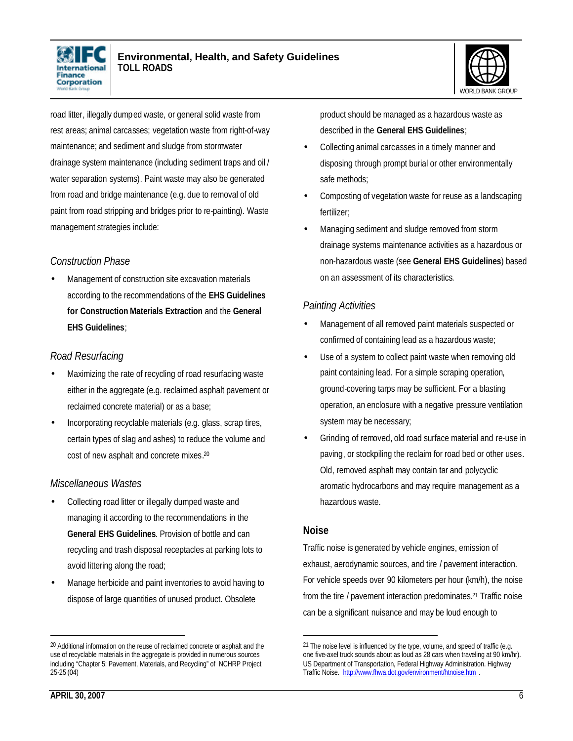



road litter, illegally dumped waste, or general solid waste from rest areas; animal carcasses; vegetation waste from right-of-way maintenance; and sediment and sludge from stormwater drainage system maintenance (including sediment traps and oil / water separation systems). Paint waste may also be generated from road and bridge maintenance (e.g. due to removal of old paint from road stripping and bridges prior to re-painting). Waste management strategies include:

#### *Construction Phase*

• Management of construction site excavation materials according to the recommendations of the **EHS Guidelines for Construction Materials Extraction** and the **General EHS Guidelines**;

#### *Road Resurfacing*

- Maximizing the rate of recycling of road resurfacing waste either in the aggregate (e.g. reclaimed asphalt pavement or reclaimed concrete material) or as a base;
- Incorporating recyclable materials (e.g. glass, scrap tires, certain types of slag and ashes) to reduce the volume and cost of new asphalt and concrete mixes. 20

# *Miscellaneous Wastes*

- Collecting road litter or illegally dumped waste and managing it according to the recommendations in the **General EHS Guidelines**. Provision of bottle and can recycling and trash disposal receptacles at parking lots to avoid littering along the road;
- Manage herbicide and paint inventories to avoid having to dispose of large quantities of unused product. Obsolete

product should be managed as a hazardous waste as described in the **General EHS Guidelines**;

- Collecting animal carcasses in a timely manner and disposing through prompt burial or other environmentally safe methods:
- Composting of vegetation waste for reuse as a landscaping fertilizer;
- Managing sediment and sludge removed from storm drainage systems maintenance activities as a hazardous or non-hazardous waste (see **General EHS Guidelines**) based on an assessment of its characteristics.

#### *Painting Activities*

- Management of all removed paint materials suspected or confirmed of containing lead as a hazardous waste;
- Use of a system to collect paint waste when removing old paint containing lead. For a simple scraping operation, ground-covering tarps may be sufficient. For a blasting operation, an enclosure with a negative pressure ventilation system may be necessary;
- Grinding of removed, old road surface material and re-use in paving, or stockpiling the reclaim for road bed or other uses. Old, removed asphalt may contain tar and polycyclic aromatic hydrocarbons and may require management as a hazardous waste.

#### **Noise**

Traffic noise is generated by vehicle engines, emission of exhaust, aerodynamic sources, and tire / pavement interaction. For vehicle speeds over 90 kilometers per hour (km/h), the noise from the tire / pavement interaction predominates.<sup>21</sup> Traffic noise can be a significant nuisance and may be loud enough to

<sup>&</sup>lt;sup>20</sup> Additional information on the reuse of reclaimed concrete or asphalt and the use of recyclable materials in the aggregate is provided in numerous sources including "Chapter 5: Pavement, Materials, and Recycling" of NCHRP Project 25-25 (04)

 $21$  The noise level is influenced by the type, volume, and speed of traffic (e.g. one five-axel truck sounds about as loud as 28 cars when traveling at 90 km/hr). US Department of Transportation, Federal Highway Administration. Highway Traffic Noise. http://www.fhwa.dot.gov/environment/htnoise.htm .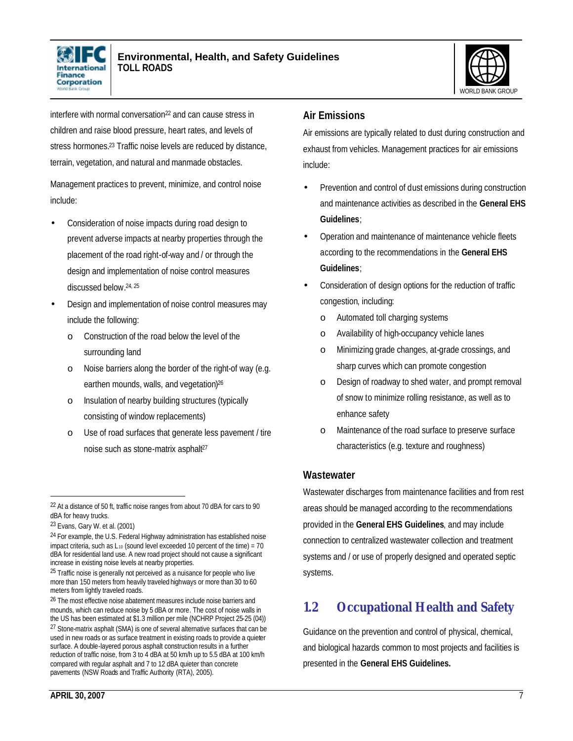



interfere with normal conversation<sup>22</sup> and can cause stress in children and raise blood pressure, heart rates, and levels of stress hormones.<sup>23</sup> Traffic noise levels are reduced by distance, terrain, vegetation, and natural and manmade obstacles.

Management practices to prevent, minimize, and control noise include:

- Consideration of noise impacts during road design to prevent adverse impacts at nearby properties through the placement of the road right-of-way and / or through the design and implementation of noise control measures discussed below. 24, 25
- Design and implementation of noise control measures may include the following:
	- o Construction of the road below the level of the surrounding land
	- o Noise barriers along the border of the right-of way (e.g. earthen mounds, walls, and vegetation)<sup>26</sup>
	- o Insulation of nearby building structures (typically consisting of window replacements)
	- o Use of road surfaces that generate less pavement / tire noise such as stone-matrix asphalt<sup>27</sup>

 $\overline{a}$ 

# **Air Emissions**

Air emissions are typically related to dust during construction and exhaust from vehicles. Management practices for air emissions include:

- Prevention and control of dust emissions during construction and maintenance activities as described in the **General EHS Guidelines**;
- Operation and maintenance of maintenance vehicle fleets according to the recommendations in the **General EHS Guidelines**;
- Consideration of design options for the reduction of traffic congestion, including:
	- o Automated toll charging systems
	- o Availability of high-occupancy vehicle lanes
	- o Minimizing grade changes, at-grade crossings, and sharp curves which can promote congestion
	- Design of roadway to shed water, and prompt removal of snow to minimize rolling resistance, as well as to enhance safety
	- o Maintenance of the road surface to preserve surface characteristics (e.g. texture and roughness)

# **Wastewater**

Wastewater discharges from maintenance facilities and from rest areas should be managed according to the recommendations provided in the **General EHS Guidelines**, and may include connection to centralized wastewater collection and treatment systems and / or use of properly designed and operated septic systems.

# **1.2 Occupational Health and Safety**

Guidance on the prevention and control of physical, chemical, and biological hazards common to most projects and facilities is presented in the **General EHS Guidelines.**

<sup>&</sup>lt;sup>22</sup> At a distance of 50 ft, traffic noise ranges from about 70 dBA for cars to 90 dBA for heavy trucks.

<sup>23</sup> Evans, Gary W. et al. (2001)

<sup>24</sup> For example, the U.S. Federal Highway administration has established noise impact criteria, such as  $L_{10}$  (sound level exceeded 10 percent of the time) = 70 dBA for residential land use. A new road project should not cause a significant increase in existing noise levels at nearby properties.

<sup>&</sup>lt;sup>25</sup> Traffic noise is generally not perceived as a nuisance for people who live more than 150 meters from heavily traveled highways or more than 30 to 60 meters from lightly traveled roads.

<sup>&</sup>lt;sup>26</sup> The most effective noise abatement measures include noise barriers and mounds, which can reduce noise by 5 dBA or more. The cost of noise walls in the US has been estimated at \$1.3 million per mile (NCHRP Project 25-25 (04)) <sup>27</sup> Stone-matrix asphalt (SMA) is one of several alternative surfaces that can be used in new roads or as surface treatment in existing roads to provide a quieter surface. A double-layered porous asphalt construction results in a further reduction of traffic noise, from 3 to 4 dBA at 50 km/h up to 5.5 dBA at 100 km/h compared with regular asphalt and 7 to 12 dBA quieter than concrete pavements (NSW Roads and Traffic Authority (RTA), 2005).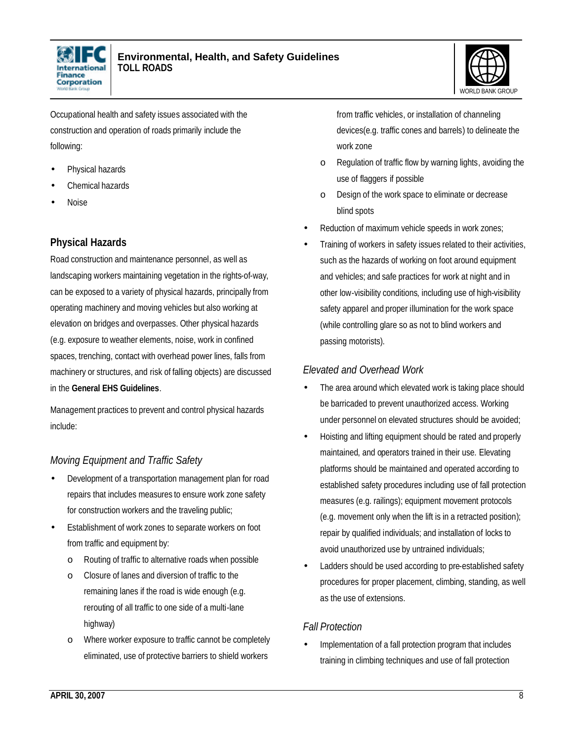



Occupational health and safety issues associated with the construction and operation of roads primarily include the following:

- Physical hazards
- Chemical hazards
- Noise

# **Physical Hazards**

Road construction and maintenance personnel, as well as landscaping workers maintaining vegetation in the rights-of-way, can be exposed to a variety of physical hazards, principally from operating machinery and moving vehicles but also working at elevation on bridges and overpasses. Other physical hazards (e.g. exposure to weather elements, noise, work in confined spaces, trenching, contact with overhead power lines, falls from machinery or structures, and risk of falling objects) are discussed in the **General EHS Guidelines**.

Management practices to prevent and control physical hazards include:

# *Moving Equipment and Traffic Safety*

- Development of a transportation management plan for road repairs that includes measures to ensure work zone safety for construction workers and the traveling public;
- Establishment of work zones to separate workers on foot from traffic and equipment by:
	- o Routing of traffic to alternative roads when possible
	- o Closure of lanes and diversion of traffic to the remaining lanes if the road is wide enough (e.g. rerouting of all traffic to one side of a multi-lane highway)
	- o Where worker exposure to traffic cannot be completely eliminated, use of protective barriers to shield workers

from traffic vehicles, or installation of channeling devices(e.g. traffic cones and barrels) to delineate the work zone

- o Regulation of traffic flow by warning lights, avoiding the use of flaggers if possible
- o Design of the work space to eliminate or decrease blind spots
- Reduction of maximum vehicle speeds in work zones;
- Training of workers in safety issues related to their activities, such as the hazards of working on foot around equipment and vehicles; and safe practices for work at night and in other low-visibility conditions, including use of high-visibility safety apparel and proper illumination for the work space (while controlling glare so as not to blind workers and passing motorists).

#### *Elevated and Overhead Work*

- The area around which elevated work is taking place should be barricaded to prevent unauthorized access. Working under personnel on elevated structures should be avoided;
- Hoisting and lifting equipment should be rated and properly maintained, and operators trained in their use. Elevating platforms should be maintained and operated according to established safety procedures including use of fall protection measures (e.g. railings); equipment movement protocols (e.g. movement only when the lift is in a retracted position); repair by qualified individuals; and installation of locks to avoid unauthorized use by untrained individuals;
- Ladders should be used according to pre-established safety procedures for proper placement, climbing, standing, as well as the use of extensions.

# *Fall Protection*

• Implementation of a fall protection program that includes training in climbing techniques and use of fall protection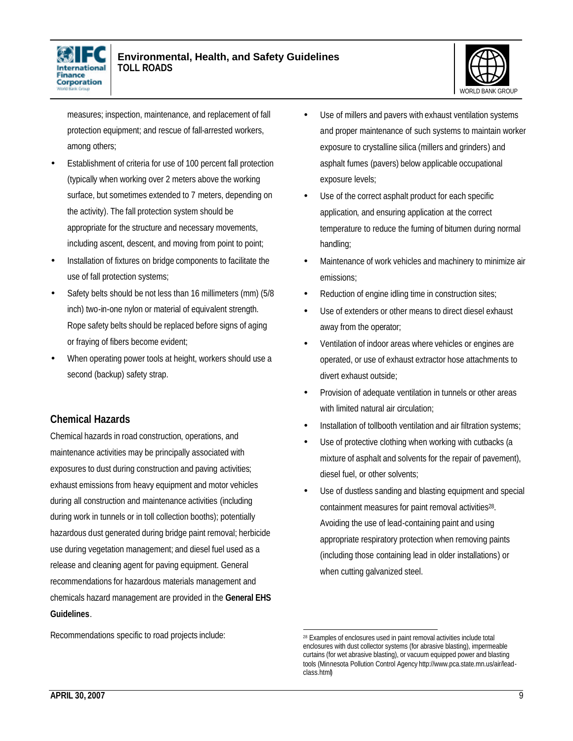



measures; inspection, maintenance, and replacement of fall protection equipment; and rescue of fall-arrested workers, among others;

- Establishment of criteria for use of 100 percent fall protection (typically when working over 2 meters above the working surface, but sometimes extended to 7 meters, depending on the activity). The fall protection system should be appropriate for the structure and necessary movements, including ascent, descent, and moving from point to point;
- Installation of fixtures on bridge components to facilitate the use of fall protection systems;
- Safety belts should be not less than 16 millimeters (mm) (5/8 inch) two-in-one nylon or material of equivalent strength. Rope safety belts should be replaced before signs of aging or fraying of fibers become evident;
- When operating power tools at height, workers should use a second (backup) safety strap.

# **Chemical Hazards**

Chemical hazards in road construction, operations, and maintenance activities may be principally associated with exposures to dust during construction and paving activities; exhaust emissions from heavy equipment and motor vehicles during all construction and maintenance activities (including during work in tunnels or in toll collection booths); potentially hazardous dust generated during bridge paint removal; herbicide use during vegetation management; and diesel fuel used as a release and cleaning agent for paving equipment. General recommendations for hazardous materials management and chemicals hazard management are provided in the **General EHS Guidelines**.

Recommendations specific to road projects include:

- Use of millers and pavers with exhaust ventilation systems and proper maintenance of such systems to maintain worker exposure to crystalline silica (millers and grinders) and asphalt fumes (pavers) below applicable occupational exposure levels;
- Use of the correct asphalt product for each specific application, and ensuring application at the correct temperature to reduce the fuming of bitumen during normal handling;
- Maintenance of work vehicles and machinery to minimize air emissions;
- Reduction of engine idling time in construction sites;
- Use of extenders or other means to direct diesel exhaust away from the operator;
- Ventilation of indoor areas where vehicles or engines are operated, or use of exhaust extractor hose attachments to divert exhaust outside;
- Provision of adequate ventilation in tunnels or other areas with limited natural air circulation;
- Installation of tollbooth ventilation and air filtration systems;
- Use of protective clothing when working with cutbacks (a mixture of asphalt and solvents for the repair of pavement), diesel fuel, or other solvents;
- Use of dustless sanding and blasting equipment and special containment measures for paint removal activities<sup>28</sup>. Avoiding the use of lead-containing paint and using appropriate respiratory protection when removing paints (including those containing lead in older installations) or when cutting galvanized steel.

 <sup>28</sup> Examples of enclosures used in paint removal activities include total enclosures with dust collector systems (for abrasive blasting), impermeable curtains (for wet abrasive blasting), or vacuum equipped power and blasting tools (Minnesota Pollution Control Agency http://www.pca.state.mn.us/air/leadclass.html)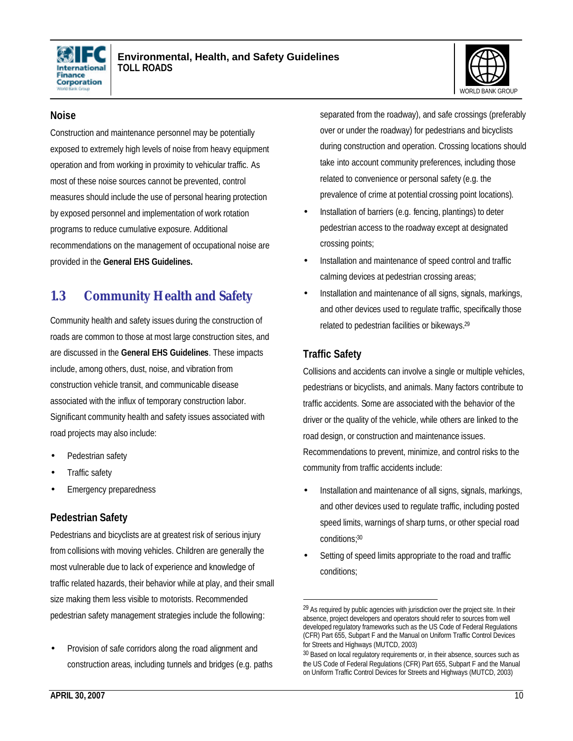



#### **Noise**

Construction and maintenance personnel may be potentially exposed to extremely high levels of noise from heavy equipment operation and from working in proximity to vehicular traffic. As most of these noise sources cannot be prevented, control measures should include the use of personal hearing protection by exposed personnel and implementation of work rotation programs to reduce cumulative exposure. Additional recommendations on the management of occupational noise are provided in the **General EHS Guidelines.**

# **1.3 Community Health and Safety**

Community health and safety issues during the construction of roads are common to those at most large construction sites, and are discussed in the **General EHS Guidelines**. These impacts include, among others, dust, noise, and vibration from construction vehicle transit, and communicable disease associated with the influx of temporary construction labor. Significant community health and safety issues associated with road projects may also include:

- Pedestrian safety
- Traffic safety
- **Emergency preparedness**

#### **Pedestrian Safety**

Pedestrians and bicyclists are at greatest risk of serious injury from collisions with moving vehicles. Children are generally the most vulnerable due to lack of experience and knowledge of traffic related hazards, their behavior while at play, and their small size making them less visible to motorists. Recommended pedestrian safety management strategies include the following:

• Provision of safe corridors along the road alignment and construction areas, including tunnels and bridges (e.g. paths separated from the roadway), and safe crossings (preferably over or under the roadway) for pedestrians and bicyclists during construction and operation. Crossing locations should take into account community preferences, including those related to convenience or personal safety (e.g. the prevalence of crime at potential crossing point locations).

- Installation of barriers (e.g. fencing, plantings) to deter pedestrian access to the roadway except at designated crossing points;
- Installation and maintenance of speed control and traffic calming devices at pedestrian crossing areas;
- Installation and maintenance of all signs, signals, markings, and other devices used to regulate traffic, specifically those related to pedestrian facilities or bikeways.<sup>29</sup>

# **Traffic Safety**

Collisions and accidents can involve a single or multiple vehicles, pedestrians or bicyclists, and animals. Many factors contribute to traffic accidents. Some are associated with the behavior of the driver or the quality of the vehicle, while others are linked to the road design, or construction and maintenance issues. Recommendations to prevent, minimize, and control risks to the community from traffic accidents include:

- Installation and maintenance of all signs, signals, markings, and other devices used to regulate traffic, including posted speed limits, warnings of sharp turns, or other special road conditions; 30
- Setting of speed limits appropriate to the road and traffic conditions;

 $29$  As required by public agencies with jurisdiction over the project site. In their absence, project developers and operators should refer to sources from well developed regulatory frameworks such as the US Code of Federal Regulations (CFR) Part 655, Subpart F and the Manual on Uniform Traffic Control Devices for Streets and Highways (MUTCD, 2003)

<sup>30</sup> Based on local regulatory requirements or, in their absence, sources such as the US Code of Federal Regulations (CFR) Part 655, Subpart F and the Manual on Uniform Traffic Control Devices for Streets and Highways (MUTCD, 2003)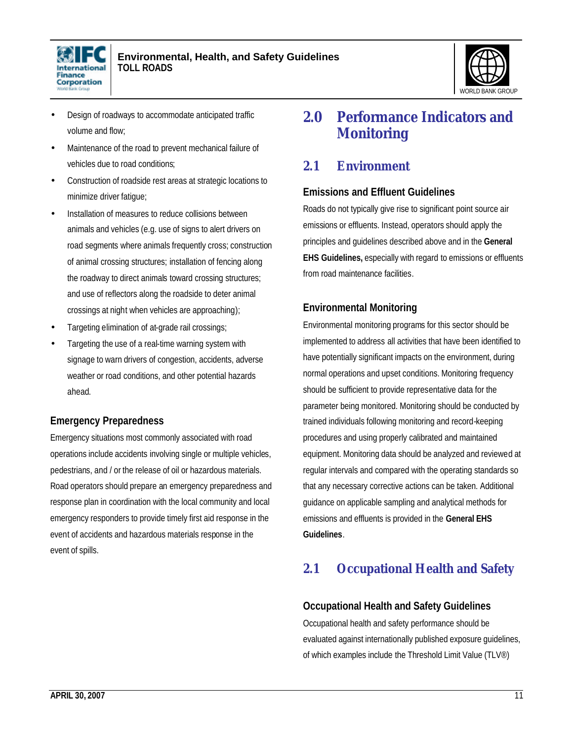



- Design of roadways to accommodate anticipated traffic volume and flow;
- Maintenance of the road to prevent mechanical failure of vehicles due to road conditions;
- Construction of roadside rest areas at strategic locations to minimize driver fatigue;
- Installation of measures to reduce collisions between animals and vehicles (e.g. use of signs to alert drivers on road segments where animals frequently cross; construction of animal crossing structures; installation of fencing along the roadway to direct animals toward crossing structures; and use of reflectors along the roadside to deter animal crossings at night when vehicles are approaching);
- Targeting elimination of at-grade rail crossings;
- Targeting the use of a real-time warning system with signage to warn drivers of congestion, accidents, adverse weather or road conditions, and other potential hazards ahead.

# **Emergency Preparedness**

Emergency situations most commonly associated with road operations include accidents involving single or multiple vehicles, pedestrians, and / or the release of oil or hazardous materials. Road operators should prepare an emergency preparedness and response plan in coordination with the local community and local emergency responders to provide timely first aid response in the event of accidents and hazardous materials response in the event of spills.

# **2.0 Performance Indicators and Monitoring**

# **2.1 Environment**

# **Emissions and Effluent Guidelines**

Roads do not typically give rise to significant point source air emissions or effluents. Instead, operators should apply the principles and guidelines described above and in the **General EHS Guidelines,** especially with regard to emissions or effluents from road maintenance facilities.

#### **Environmental Monitoring**

Environmental monitoring programs for this sector should be implemented to address all activities that have been identified to have potentially significant impacts on the environment, during normal operations and upset conditions. Monitoring frequency should be sufficient to provide representative data for the parameter being monitored. Monitoring should be conducted by trained individuals following monitoring and record-keeping procedures and using properly calibrated and maintained equipment. Monitoring data should be analyzed and reviewed at regular intervals and compared with the operating standards so that any necessary corrective actions can be taken. Additional guidance on applicable sampling and analytical methods for emissions and effluents is provided in the **General EHS Guidelines**.

# **2.1 Occupational Health and Safety**

#### **Occupational Health and Safety Guidelines**

Occupational health and safety performance should be evaluated against internationally published exposure guidelines, of which examples include the Threshold Limit Value (TLV®)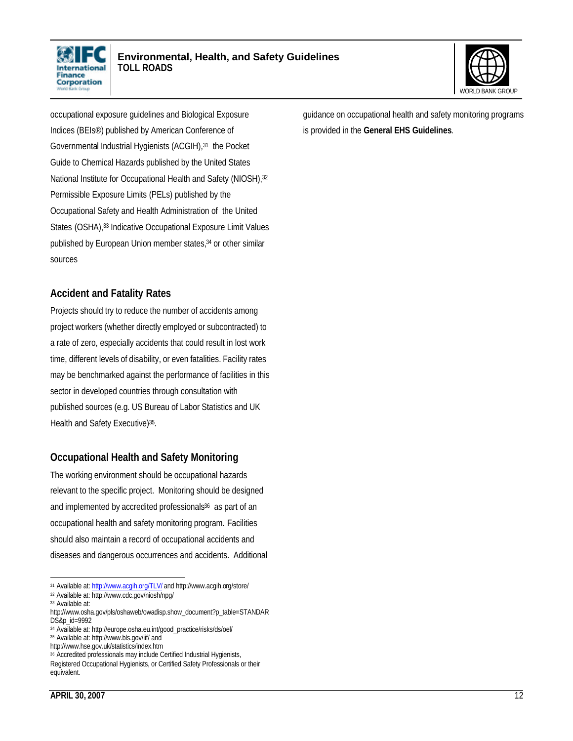



occupational exposure guidelines and Biological Exposure Indices (BEIs®) published by American Conference of Governmental Industrial Hygienists (ACGIH),<sup>31</sup> the Pocket Guide to Chemical Hazards published by the United States National Institute for Occupational Health and Safety (NIOSH), 32 Permissible Exposure Limits (PELs) published by the Occupational Safety and Health Administration of the United States (OSHA),<sup>33</sup> Indicative Occupational Exposure Limit Values published by European Union member states,34 or other similar sources

#### **Accident and Fatality Rates**

Projects should try to reduce the number of accidents among project workers (whether directly employed or subcontracted) to a rate of zero, especially accidents that could result in lost work time, different levels of disability, or even fatalities. Facility rates may be benchmarked against the performance of facilities in this sector in developed countries through consultation with published sources (e.g. US Bureau of Labor Statistics and UK Health and Safety Executive)<sup>35</sup>.

# **Occupational Health and Safety Monitoring**

The working environment should be occupational hazards relevant to the specific project. Monitoring should be designed and implemented by accredited professionals<sup>36</sup> as part of an occupational health and safety monitoring program. Facilities should also maintain a record of occupational accidents and diseases and dangerous occurrences and accidents. Additional

 $\overline{a}$ <sup>31</sup> Available at: http://www.acgih.org/TLV/ and http://www.acgih.org/store/

<sup>32</sup> Available at: http://www.cdc.gov/niosh/npg/

<sup>33</sup> Available at:

http://www.osha.gov/pls/oshaweb/owadisp.show\_document?p\_table=STANDAR DS&p\_id=9992

<sup>34</sup> Available at: http://europe.osha.eu.int/good\_practice/risks/ds/oel/

<sup>35</sup> Available at: http://www.bls.gov/iif/ and

http://www.hse.gov.uk/statistics/index.htm

<sup>36</sup> Accredited professionals may include Certified Industrial Hygienists, Registered Occupational Hygienists, or Certified Safety Professionals or their equivalent.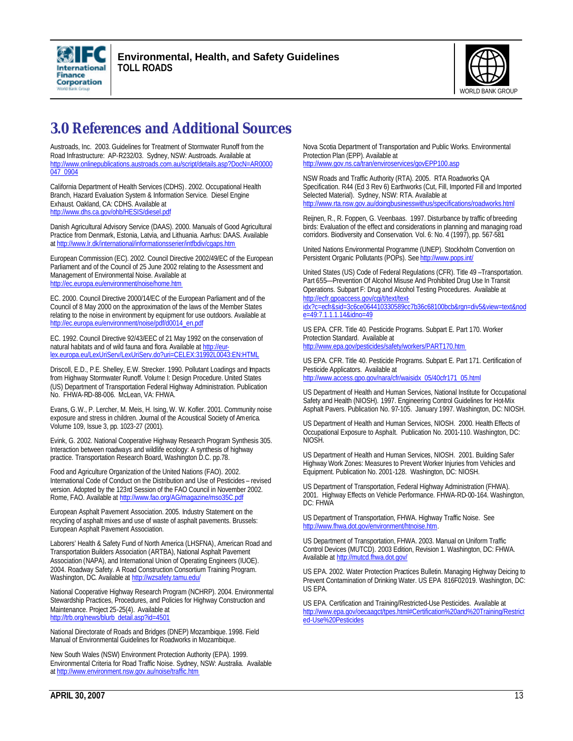



# **3.0 References and Additional Sources**

Austroads, Inc. 2003. Guidelines for Treatment of Stormwater Runoff from the Road Infrastructure: AP-R232/03. Sydney, NSW: Austroads. Available at http://www.onlinepublications.austroads.com.au/script/details.asp?DocN=AR0000 047\_0904

California Department of Health Services (CDHS). 2002. Occupational Health Branch, Hazard Evaluation System & Information Service. Diesel Engine Exhaust. Oakland, CA: CDHS. Available at http://www.dhs.ca.gov/ohb/HESIS/diesel.pdf

Danish Agricultural Advisory Service (DAAS). 2000. Manuals of Good Agricultural Practice from Denmark, Estonia, Latvia, and Lithuania. Aarhus: DAAS. Available at http://www.lr.dk/international/informationsserier/intfbdiv/cgaps.htm

European Commission (EC). 2002. Council Directive 2002/49/EC of the European Parliament and of the Council of 25 June 2002 relating to the Assessment and Management of Environmental Noise. Available at http://ec.europa.eu/environment/noise/home.htm

EC. 2000. Council Directive 2000/14/EC of the European Parliament and of the Council of 8 May 2000 on the approximation of the laws of the Member States relating to the noise in environment by equipment for use outdoors. Available at http://ec.europa.eu/environment/noise/pdf/d0014\_en.pdf

EC. 1992. Council Directive 92/43/EEC of 21 May 1992 on the conservation of natural habitats and of wild fauna and flora. Available at http://eurlex.europa.eu/LexUriServ/LexUriServ.do?uri=CELEX:31992L0043:EN:HTML

Driscoll, E.D., P.E. Shelley, E.W. Strecker. 1990. Pollutant Loadings and Impacts from Highway Stormwater Runoff. Volume I: Design Procedure. United States (US) Department of Transportation Federal Highway Administration. Publication No. FHWA-RD-88-006. McLean, VA: FHWA.

Evans, G.W., P. Lercher, M. Meis, H. Ising, W. W. Kofler. 2001. Community noise exposure and stress in children. Journal of the Acoustical Society of America. Volume 109, Issue 3, pp. 1023-27 (2001).

Evink, G. 2002. National Cooperative Highway Research Program Synthesis 305. Interaction between roadways and wildlife ecology: A synthesis of highway practice. Transportation Research Board, Washington D.C. pp.78.

Food and Agriculture Organization of the United Nations (FAO). 2002. International Code of Conduct on the Distribution and Use of Pesticides – revised version. Adopted by the 123rd Session of the FAO Council in November 2002. Rome, FAO. Available at http://www.fao.org/AG/magazine/mso35C.pdf

European Asphalt Pavement Association. 2005. Industry Statement on the recycling of asphalt mixes and use of waste of asphalt pavements. Brussels: European Asphalt Pavement Association.

Laborers' Health & Safety Fund of North America (LHSFNA), American Road and Transportation Builders Association (ARTBA), National Asphalt Pavement Association (NAPA), and International Union of Operating Engineers (IUOE). 2004. Roadway Safety. A Road Construction Consortium Training Program. Washington, DC. Available at http://wzsafety.tamu.edu/

National Cooperative Highway Research Program (NCHRP). 2004. Environmental Stewardship Practices, Procedures, and Policies for Highway Construction and Maintenance. Project 25-25(4). Available at http://trb.org/news/blurb\_detail.asp?id=4501

National Directorate of Roads and Bridges (DNEP) Mozambique. 1998. Field Manual of Environmental Guidelines for Roadworks in Mozambique.

New South Wales (NSW) Environment Protection Authority (EPA). 1999. Environmental Criteria for Road Traffic Noise. Sydney, NSW: Australia. Available at http://www.environment.nsw.gov.au/noise/traffic.htm

Nova Scotia Department of Transportation and Public Works. Environmental Protection Plan (EPP). Available at http://www.gov.ns.ca/tran/enviroservices/govEPP100.asp

NSW Roads and Traffic Authority (RTA). 2005. RTA Roadworks QA Specification. R44 (Ed 3 Rev 6) Earthworks (Cut, Fill, Imported Fill and Imported Selected Material). Sydney, NSW: RTA. Available at http://www.rta.nsw.gov.au/doingbusinesswithus/specifications/roadworks.html

Reijnen, R., R. Foppen, G. Veenbaas. 1997. Disturbance by traffic of breeding birds: Evaluation of the effect and considerations in planning and managing road corridors. Biodiversity and Conservation. Vol. 6: No. 4 (1997), pp. 567-581

United Nations Environmental Programme (UNEP). Stockholm Convention on Persistent Organic Pollutants (POPs). See http://www.pops.int/

United States (US) Code of Federal Regulations (CFR). Title 49 –Transportation. Part 655—Prevention Of Alcohol Misuse And Prohibited Drug Use In Transit Operations. Subpart F: Drug and Alcohol Testing Procedures. Available at http://ecfr.gpoaccess.gov/cgi/t/text/text-

idx?c=ecfr&sid=3c6ce064410330589cc7b36c68100bcb&rgn=div5&view=text&nod e=49:7.1.1.1.14&idno=49

US EPA. CFR. Title 40. Pesticide Programs. Subpart E. Part 170. Worker Protection Standard. Available at http://www.epa.gov/pesticides/safety/workers/PART170.htm

US EPA. CFR. Title 40. Pesticide Programs. Subpart E. Part 171. Certification of Pesticide Applicators. Available at http://www.access.gpo.gov/nara/cfr/waisidx\_05/40cfr171\_05.html

US Department of Health and Human Services, National Institute for Occupational Safety and Health (NIOSH). 1997. Engineering Control Guidelines for Hot-Mix Asphalt Pavers. Publication No. 97-105. January 1997. Washington, DC: NIOSH.

US Department of Health and Human Services, NIOSH. 2000. Health Effects of Occupational Exposure to Asphalt. Publication No. 2001-110. Washington, DC: NIOSH.

US Department of Health and Human Services, NIOSH. 2001. Building Safer Highway Work Zones: Measures to Prevent Worker Injuries from Vehicles and Equipment. Publication No. 2001-128. Washington, DC: NIOSH.

US Department of Transportation, Federal Highway Administration (FHWA). 2001. Highway Effects on Vehicle Performance. FHWA-RD-00-164. Washington, DC: FHWA

US Department of Transportation, FHWA. Highway Traffic Noise. See http://www.fhwa.dot.gov/environment/htnoise.htm.

US Department of Transportation, FHWA. 2003. Manual on Uniform Traffic Control Devices (MUTCD). 2003 Edition, Revision 1. Washington, DC: FHWA. Available at http://mutcd.fhwa.dot.gov/

US EPA. 2002. Water Protection Practices Bulletin. Managing Highway Deicing to Prevent Contamination of Drinking Water. US EPA 816F02019. Washington, DC: US EPA.

US EPA. Certification and Training/Restricted-Use Pesticides. Available at http://www.epa.gov/oecaagct/tpes.html#Certification%20and%20Training/Restrict ed-Use%20Pesticides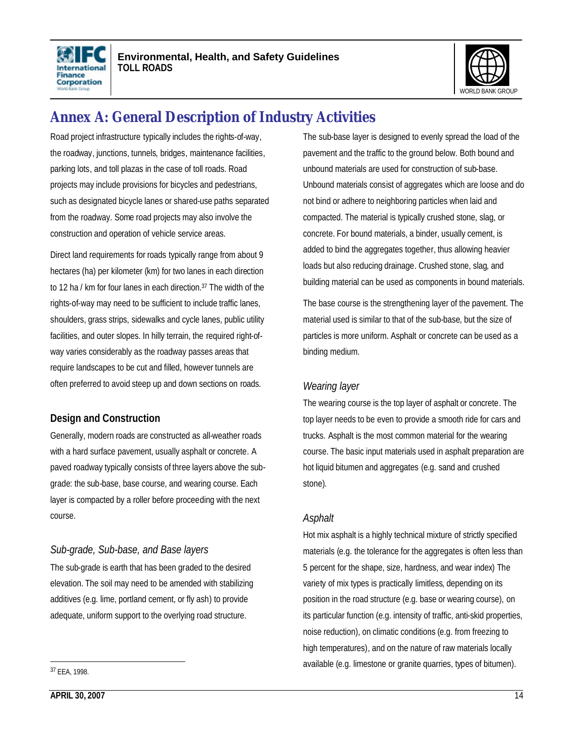



# **Annex A: General Description of Industry Activities**

Road project infrastructure typically includes the rights-of-way, the roadway, junctions, tunnels, bridges, maintenance facilities, parking lots, and toll plazas in the case of toll roads. Road projects may include provisions for bicycles and pedestrians, such as designated bicycle lanes or shared-use paths separated from the roadway. Some road projects may also involve the construction and operation of vehicle service areas.

Direct land requirements for roads typically range from about 9 hectares (ha) per kilometer (km) for two lanes in each direction to 12 ha / km for four lanes in each direction.<sup>37</sup> The width of the rights-of-way may need to be sufficient to include traffic lanes, shoulders, grass strips, sidewalks and cycle lanes, public utility facilities, and outer slopes. In hilly terrain, the required right-ofway varies considerably as the roadway passes areas that require landscapes to be cut and filled, however tunnels are often preferred to avoid steep up and down sections on roads.

#### **Design and Construction**

Generally, modern roads are constructed as all-weather roads with a hard surface pavement, usually asphalt or concrete. A paved roadway typically consists of three layers above the subgrade: the sub-base, base course, and wearing course. Each layer is compacted by a roller before proceeding with the next course.

# *Sub-grade, Sub-base, and Base layers*

The sub-grade is earth that has been graded to the desired elevation. The soil may need to be amended with stabilizing additives (e.g. lime, portland cement, or fly ash) to provide adequate, uniform support to the overlying road structure.

The sub-base layer is designed to evenly spread the load of the pavement and the traffic to the ground below. Both bound and unbound materials are used for construction of sub-base. Unbound materials consist of aggregates which are loose and do not bind or adhere to neighboring particles when laid and compacted. The material is typically crushed stone, slag, or concrete. For bound materials, a binder, usually cement, is added to bind the aggregates together, thus allowing heavier loads but also reducing drainage. Crushed stone, slag, and building material can be used as components in bound materials.

The base course is the strengthening layer of the pavement. The material used is similar to that of the sub-base, but the size of particles is more uniform. Asphalt or concrete can be used as a binding medium.

#### *Wearing layer*

The wearing course is the top layer of asphalt or concrete. The top layer needs to be even to provide a smooth ride for cars and trucks. Asphalt is the most common material for the wearing course. The basic input materials used in asphalt preparation are hot liquid bitumen and aggregates (e.g. sand and crushed stone).

#### *Asphalt*

Hot mix asphalt is a highly technical mixture of strictly specified materials (e.g. the tolerance for the aggregates is often less than 5 percent for the shape, size, hardness, and wear index) The variety of mix types is practically limitless, depending on its position in the road structure (e.g. base or wearing course), on its particular function (e.g. intensity of traffic, anti-skid properties, noise reduction), on climatic conditions (e.g. from freezing to high temperatures), and on the nature of raw materials locally available (e.g. limestone or granite quarries, types of bitumen).

<sup>37</sup> EEA, 1998.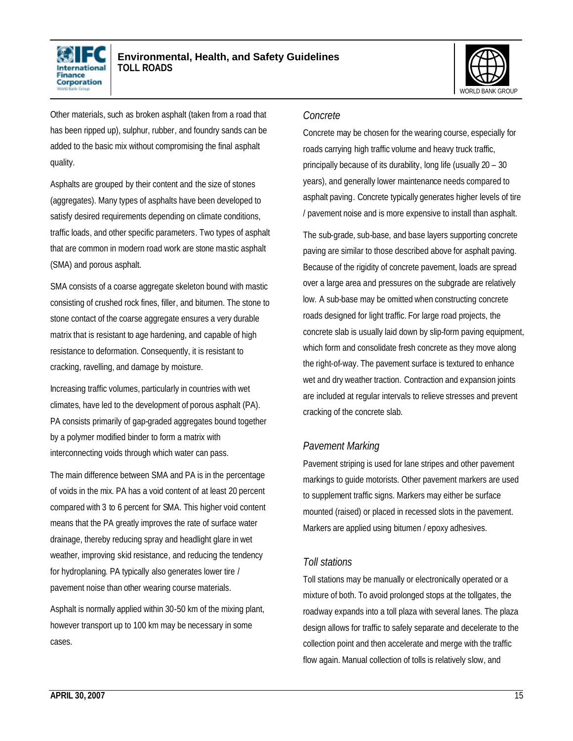



Other materials, such as broken asphalt (taken from a road that has been ripped up), sulphur, rubber, and foundry sands can be added to the basic mix without compromising the final asphalt quality.

Asphalts are grouped by their content and the size of stones (aggregates). Many types of asphalts have been developed to satisfy desired requirements depending on climate conditions, traffic loads, and other specific parameters. Two types of asphalt that are common in modern road work are stone mastic asphalt (SMA) and porous asphalt.

SMA consists of a coarse aggregate skeleton bound with mastic consisting of crushed rock fines, filler, and bitumen. The stone to stone contact of the coarse aggregate ensures a very durable matrix that is resistant to age hardening, and capable of high resistance to deformation. Consequently, it is resistant to cracking, ravelling, and damage by moisture.

Increasing traffic volumes, particularly in countries with wet climates, have led to the development of porous asphalt (PA). PA consists primarily of gap-graded aggregates bound together by a polymer modified binder to form a matrix with interconnecting voids through which water can pass.

The main difference between SMA and PA is in the percentage of voids in the mix. PA has a void content of at least 20 percent compared with 3 to 6 percent for SMA. This higher void content means that the PA greatly improves the rate of surface water drainage, thereby reducing spray and headlight glare in wet weather, improving skid resistance, and reducing the tendency for hydroplaning. PA typically also generates lower tire / pavement noise than other wearing course materials.

Asphalt is normally applied within 30-50 km of the mixing plant, however transport up to 100 km may be necessary in some cases.

#### *Concrete*

Concrete may be chosen for the wearing course, especially for roads carrying high traffic volume and heavy truck traffic, principally because of its durability, long life (usually 20 – 30 years), and generally lower maintenance needs compared to asphalt paving. Concrete typically generates higher levels of tire / pavement noise and is more expensive to install than asphalt.

The sub-grade, sub-base, and base layers supporting concrete paving are similar to those described above for asphalt paving. Because of the rigidity of concrete pavement, loads are spread over a large area and pressures on the subgrade are relatively low. A sub-base may be omitted when constructing concrete roads designed for light traffic. For large road projects, the concrete slab is usually laid down by slip-form paving equipment, which form and consolidate fresh concrete as they move along the right-of-way. The pavement surface is textured to enhance wet and dry weather traction. Contraction and expansion joints are included at regular intervals to relieve stresses and prevent cracking of the concrete slab.

#### *Pavement Marking*

Pavement striping is used for lane stripes and other pavement markings to guide motorists. Other pavement markers are used to supplement traffic signs. Markers may either be surface mounted (raised) or placed in recessed slots in the pavement. Markers are applied using bitumen / epoxy adhesives.

#### *Toll stations*

Toll stations may be manually or electronically operated or a mixture of both. To avoid prolonged stops at the tollgates, the roadway expands into a toll plaza with several lanes. The plaza design allows for traffic to safely separate and decelerate to the collection point and then accelerate and merge with the traffic flow again. Manual collection of tolls is relatively slow, and